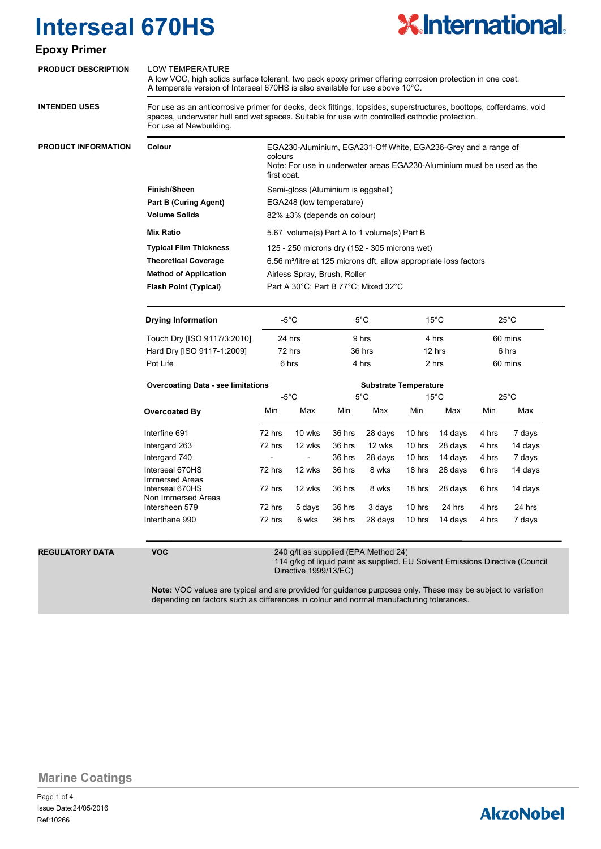

### **Epoxy Primer**

| <b>PRODUCT DESCRIPTION</b> | <b>LOW TEMPERATURE</b><br>A low VOC, high solids surface tolerant, two pack epoxy primer offering corrosion protection in one coat.<br>A temperate version of Interseal 670HS is also available for use above 10°C.<br>For use as an anticorrosive primer for decks, deck fittings, topsides, superstructures, boottops, cofferdams, void<br>spaces, underwater hull and wet spaces. Suitable for use with controlled cathodic protection.<br>For use at Newbuilding. |                                                                               |                                                                                                                                                                    |                              |         |                |                   |                |         |  |
|----------------------------|-----------------------------------------------------------------------------------------------------------------------------------------------------------------------------------------------------------------------------------------------------------------------------------------------------------------------------------------------------------------------------------------------------------------------------------------------------------------------|-------------------------------------------------------------------------------|--------------------------------------------------------------------------------------------------------------------------------------------------------------------|------------------------------|---------|----------------|-------------------|----------------|---------|--|
| <b>INTENDED USES</b>       |                                                                                                                                                                                                                                                                                                                                                                                                                                                                       |                                                                               |                                                                                                                                                                    |                              |         |                |                   |                |         |  |
| <b>PRODUCT INFORMATION</b> | Colour                                                                                                                                                                                                                                                                                                                                                                                                                                                                |                                                                               | EGA230-Aluminium, EGA231-Off White, EGA236-Grey and a range of<br>colours<br>Note: For use in underwater areas EGA230-Aluminium must be used as the<br>first coat. |                              |         |                |                   |                |         |  |
|                            | <b>Finish/Sheen</b>                                                                                                                                                                                                                                                                                                                                                                                                                                                   | Semi-gloss (Aluminium is eggshell)                                            |                                                                                                                                                                    |                              |         |                |                   |                |         |  |
|                            | <b>Part B (Curing Agent)</b>                                                                                                                                                                                                                                                                                                                                                                                                                                          |                                                                               | EGA248 (low temperature)                                                                                                                                           |                              |         |                |                   |                |         |  |
|                            | <b>Volume Solids</b>                                                                                                                                                                                                                                                                                                                                                                                                                                                  | 82% ±3% (depends on colour)                                                   |                                                                                                                                                                    |                              |         |                |                   |                |         |  |
|                            | <b>Mix Ratio</b>                                                                                                                                                                                                                                                                                                                                                                                                                                                      | 5.67 volume(s) Part A to 1 volume(s) Part B                                   |                                                                                                                                                                    |                              |         |                |                   |                |         |  |
|                            | <b>Typical Film Thickness</b>                                                                                                                                                                                                                                                                                                                                                                                                                                         | 125 - 250 microns dry (152 - 305 microns wet)                                 |                                                                                                                                                                    |                              |         |                |                   |                |         |  |
|                            | <b>Theoretical Coverage</b>                                                                                                                                                                                                                                                                                                                                                                                                                                           | 6.56 m <sup>2</sup> /litre at 125 microns dft, allow appropriate loss factors |                                                                                                                                                                    |                              |         |                |                   |                |         |  |
|                            | <b>Method of Application</b>                                                                                                                                                                                                                                                                                                                                                                                                                                          | Airless Spray, Brush, Roller                                                  |                                                                                                                                                                    |                              |         |                |                   |                |         |  |
|                            | <b>Flash Point (Typical)</b>                                                                                                                                                                                                                                                                                                                                                                                                                                          | Part A 30°C; Part B 77°C; Mixed 32°C                                          |                                                                                                                                                                    |                              |         |                |                   |                |         |  |
|                            |                                                                                                                                                                                                                                                                                                                                                                                                                                                                       |                                                                               |                                                                                                                                                                    |                              |         |                |                   |                |         |  |
|                            | <b>Drying Information</b>                                                                                                                                                                                                                                                                                                                                                                                                                                             | -5°C                                                                          |                                                                                                                                                                    | $5^{\circ}$ C                |         | $15^{\circ}$ C |                   | $25^{\circ}$ C |         |  |
|                            | Touch Dry [ISO 9117/3:2010]                                                                                                                                                                                                                                                                                                                                                                                                                                           | 24 hrs                                                                        |                                                                                                                                                                    | 9 hrs                        |         | 4 hrs          |                   | 60 mins        |         |  |
|                            | Hard Dry [ISO 9117-1:2009]                                                                                                                                                                                                                                                                                                                                                                                                                                            | 72 hrs                                                                        |                                                                                                                                                                    | 36 hrs                       |         | 12 hrs         |                   | 6 hrs          |         |  |
|                            | Pot Life                                                                                                                                                                                                                                                                                                                                                                                                                                                              | 6 hrs                                                                         |                                                                                                                                                                    | 4 hrs                        |         | 2 hrs          |                   | 60 mins        |         |  |
|                            | <b>Overcoating Data - see limitations</b>                                                                                                                                                                                                                                                                                                                                                                                                                             |                                                                               |                                                                                                                                                                    | <b>Substrate Temperature</b> |         |                |                   |                |         |  |
|                            |                                                                                                                                                                                                                                                                                                                                                                                                                                                                       | $-5^{\circ}$ C                                                                |                                                                                                                                                                    | $5^{\circ}$ C                |         | $15^{\circ}$ C |                   | $25^{\circ}$ C |         |  |
|                            | <b>Overcoated By</b>                                                                                                                                                                                                                                                                                                                                                                                                                                                  | Min                                                                           | Max                                                                                                                                                                | Min                          | Max     | Min            | Max               | Min            | Max     |  |
|                            | Interfine 691                                                                                                                                                                                                                                                                                                                                                                                                                                                         | 72 hrs                                                                        | 10 wks                                                                                                                                                             | 36 hrs                       | 28 days | 10 hrs         | 14 days           | 4 hrs          | 7 days  |  |
|                            | Intergard 263                                                                                                                                                                                                                                                                                                                                                                                                                                                         | 72 hrs                                                                        | 12 wks                                                                                                                                                             | 36 hrs                       | 12 wks  | 10 hrs         | 28 days           | 4 hrs          | 14 days |  |
|                            | Intergard 740                                                                                                                                                                                                                                                                                                                                                                                                                                                         |                                                                               |                                                                                                                                                                    | 36 hrs                       | 28 days | 10 hrs         | 14 days           | 4 hrs          | 7 days  |  |
|                            | Interseal 670HS<br><b>Immersed Areas</b>                                                                                                                                                                                                                                                                                                                                                                                                                              | 72 hrs                                                                        | 12 wks                                                                                                                                                             | 36 hrs                       | 8 wks   | 18 hrs         | 28 days           | 6 hrs          | 14 days |  |
|                            | Interseal 670HS                                                                                                                                                                                                                                                                                                                                                                                                                                                       | 72 hrs                                                                        | 12 wks                                                                                                                                                             | 36 hrs                       | 8 wks   | 18 hrs         | 28 days           | 6 hrs          | 14 days |  |
|                            | Non Immersed Areas                                                                                                                                                                                                                                                                                                                                                                                                                                                    |                                                                               |                                                                                                                                                                    |                              |         |                |                   |                |         |  |
|                            | Intersheen 579                                                                                                                                                                                                                                                                                                                                                                                                                                                        | 72 hrs                                                                        | 5 days                                                                                                                                                             | 36 hrs                       | 3 days  | 10 hrs         | 24 hrs<br>14 days | 4 hrs          | 24 hrs  |  |
|                            | Interthane 990                                                                                                                                                                                                                                                                                                                                                                                                                                                        | 72 hrs                                                                        | 6 wks                                                                                                                                                              | 36 hrs                       | 28 days | 10 hrs         |                   | 4 hrs          | 7 days  |  |
| <b>REGULATORY DATA</b>     | <b>VOC</b>                                                                                                                                                                                                                                                                                                                                                                                                                                                            |                                                                               |                                                                                                                                                                    |                              |         |                |                   |                |         |  |
|                            | 240 g/lt as supplied (EPA Method 24)<br>114 g/kg of liquid paint as supplied. EU Solvent Emissions Directive (Council                                                                                                                                                                                                                                                                                                                                                 |                                                                               |                                                                                                                                                                    |                              |         |                |                   |                |         |  |

**Note:** VOC values are typical and are provided for guidance purposes only. These may be subject to variation depending on factors such as differences in colour and normal manufacturing tolerances.

**Marine Coatings**

Page 1 of 4 Ref:10266 Issue Date:24/05/2016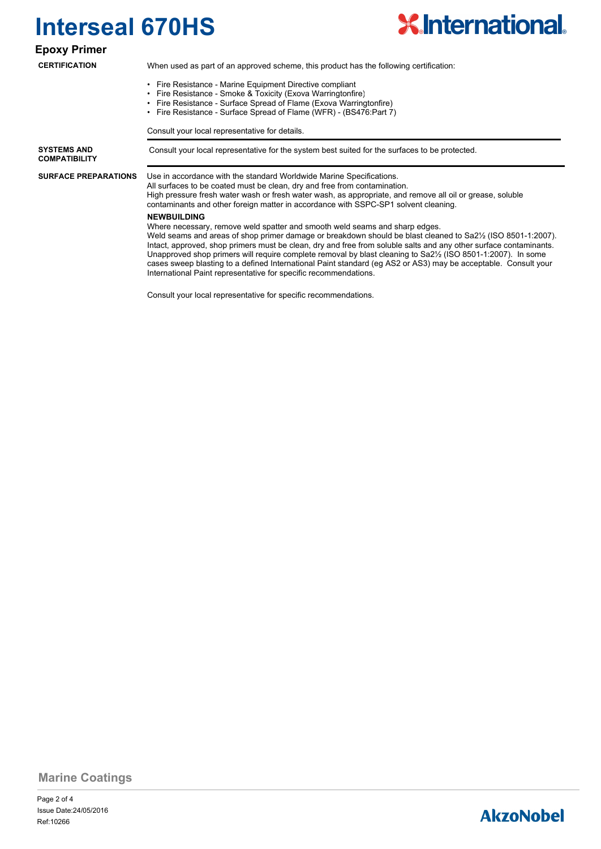

**Epoxy Primer**

**CERTIFICATION**

When used as part of an approved scheme, this product has the following certification:

- Fire Resistance Marine Equipment Directive compliant
- Fire Resistance Smoke & Toxicity (Exova Warringtonfire)
- Fire Resistance Surface Spread of Flame (Exova Warringtonfire)
- Fire Resistance Surface Spread of Flame (WFR) (BS476:Part 7)

Consult your local representative for details.

**COMPATIBILITY**

**SURFACE PREPARATIONS**

**SYSTEMS AND Consult your local representative for the system best suited for the surfaces to be protected.** 

### Use in accordance with the standard Worldwide Marine Specifications.

All surfaces to be coated must be clean, dry and free from contamination. High pressure fresh water wash or fresh water wash, as appropriate, and remove all oil or grease, soluble contaminants and other foreign matter in accordance with SSPC-SP1 solvent cleaning.

#### **NEWBUILDING**

Where necessary, remove weld spatter and smooth weld seams and sharp edges.

Weld seams and areas of shop primer damage or breakdown should be blast cleaned to Sa2½ (ISO 8501-1:2007). Intact, approved, shop primers must be clean, dry and free from soluble salts and any other surface contaminants. Unapproved shop primers will require complete removal by blast cleaning to Sa2½ (ISO 8501-1:2007). In some cases sweep blasting to a defined International Paint standard (eg AS2 or AS3) may be acceptable. Consult your International Paint representative for specific recommendations.

Consult your local representative for specific recommendations.

**Marine Coatings**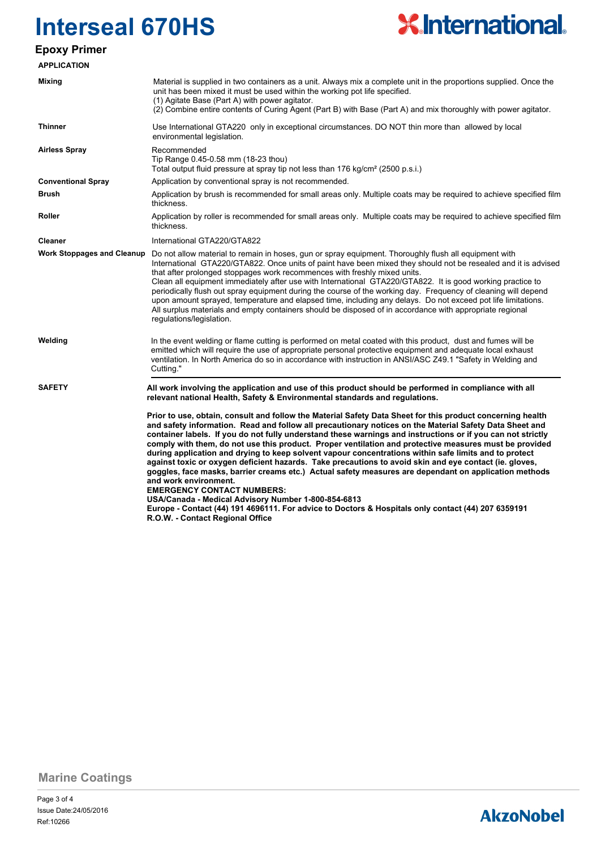

### **Epoxy Primer**

| <b>APPLICATION</b>                |                                                                                                                                                                                                                                                                                                                                                                                                                                                                                                                                                                                                                                                                                                                                                                                                                                                                                                                                                                                                                                           |  |  |  |
|-----------------------------------|-------------------------------------------------------------------------------------------------------------------------------------------------------------------------------------------------------------------------------------------------------------------------------------------------------------------------------------------------------------------------------------------------------------------------------------------------------------------------------------------------------------------------------------------------------------------------------------------------------------------------------------------------------------------------------------------------------------------------------------------------------------------------------------------------------------------------------------------------------------------------------------------------------------------------------------------------------------------------------------------------------------------------------------------|--|--|--|
| <b>Mixing</b>                     | Material is supplied in two containers as a unit. Always mix a complete unit in the proportions supplied. Once the<br>unit has been mixed it must be used within the working pot life specified.<br>(1) Agitate Base (Part A) with power agitator.<br>(2) Combine entire contents of Curing Agent (Part B) with Base (Part A) and mix thoroughly with power agitator.                                                                                                                                                                                                                                                                                                                                                                                                                                                                                                                                                                                                                                                                     |  |  |  |
| <b>Thinner</b>                    | Use International GTA220 only in exceptional circumstances. DO NOT thin more than allowed by local<br>environmental legislation.                                                                                                                                                                                                                                                                                                                                                                                                                                                                                                                                                                                                                                                                                                                                                                                                                                                                                                          |  |  |  |
| <b>Airless Spray</b>              | Recommended<br>Tip Range 0.45-0.58 mm (18-23 thou)<br>Total output fluid pressure at spray tip not less than 176 kg/cm <sup>2</sup> (2500 p.s.i.)                                                                                                                                                                                                                                                                                                                                                                                                                                                                                                                                                                                                                                                                                                                                                                                                                                                                                         |  |  |  |
| <b>Conventional Spray</b>         | Application by conventional spray is not recommended.                                                                                                                                                                                                                                                                                                                                                                                                                                                                                                                                                                                                                                                                                                                                                                                                                                                                                                                                                                                     |  |  |  |
| <b>Brush</b>                      | Application by brush is recommended for small areas only. Multiple coats may be required to achieve specified film<br>thickness.                                                                                                                                                                                                                                                                                                                                                                                                                                                                                                                                                                                                                                                                                                                                                                                                                                                                                                          |  |  |  |
| Roller                            | Application by roller is recommended for small areas only. Multiple coats may be required to achieve specified film<br>thickness.                                                                                                                                                                                                                                                                                                                                                                                                                                                                                                                                                                                                                                                                                                                                                                                                                                                                                                         |  |  |  |
| <b>Cleaner</b>                    | International GTA220/GTA822                                                                                                                                                                                                                                                                                                                                                                                                                                                                                                                                                                                                                                                                                                                                                                                                                                                                                                                                                                                                               |  |  |  |
| <b>Work Stoppages and Cleanup</b> | Do not allow material to remain in hoses, gun or spray equipment. Thoroughly flush all equipment with<br>International GTA220/GTA822. Once units of paint have been mixed they should not be resealed and it is advised<br>that after prolonged stoppages work recommences with freshly mixed units.<br>Clean all equipment immediately after use with International GTA220/GTA822. It is good working practice to<br>periodically flush out spray equipment during the course of the working day. Frequency of cleaning will depend<br>upon amount sprayed, temperature and elapsed time, including any delays. Do not exceed pot life limitations.<br>All surplus materials and empty containers should be disposed of in accordance with appropriate regional<br>regulations/legislation.                                                                                                                                                                                                                                              |  |  |  |
| Welding                           | In the event welding or flame cutting is performed on metal coated with this product, dust and fumes will be<br>emitted which will require the use of appropriate personal protective equipment and adequate local exhaust<br>ventilation. In North America do so in accordance with instruction in ANSI/ASC Z49.1 "Safety in Welding and<br>Cutting."                                                                                                                                                                                                                                                                                                                                                                                                                                                                                                                                                                                                                                                                                    |  |  |  |
| <b>SAFETY</b>                     | All work involving the application and use of this product should be performed in compliance with all<br>relevant national Health, Safety & Environmental standards and regulations.                                                                                                                                                                                                                                                                                                                                                                                                                                                                                                                                                                                                                                                                                                                                                                                                                                                      |  |  |  |
|                                   | Prior to use, obtain, consult and follow the Material Safety Data Sheet for this product concerning health<br>and safety information. Read and follow all precautionary notices on the Material Safety Data Sheet and<br>container labels. If you do not fully understand these warnings and instructions or if you can not strictly<br>comply with them, do not use this product. Proper ventilation and protective measures must be provided<br>during application and drying to keep solvent vapour concentrations within safe limits and to protect<br>against toxic or oxygen deficient hazards. Take precautions to avoid skin and eye contact (ie. gloves,<br>goggles, face masks, barrier creams etc.) Actual safety measures are dependant on application methods<br>and work environment.<br><b>EMERGENCY CONTACT NUMBERS:</b><br>USA/Canada - Medical Advisory Number 1-800-854-6813<br>Europe - Contact (44) 191 4696111. For advice to Doctors & Hospitals only contact (44) 207 6359191<br>R.O.W. - Contact Regional Office |  |  |  |

**Marine Coatings**